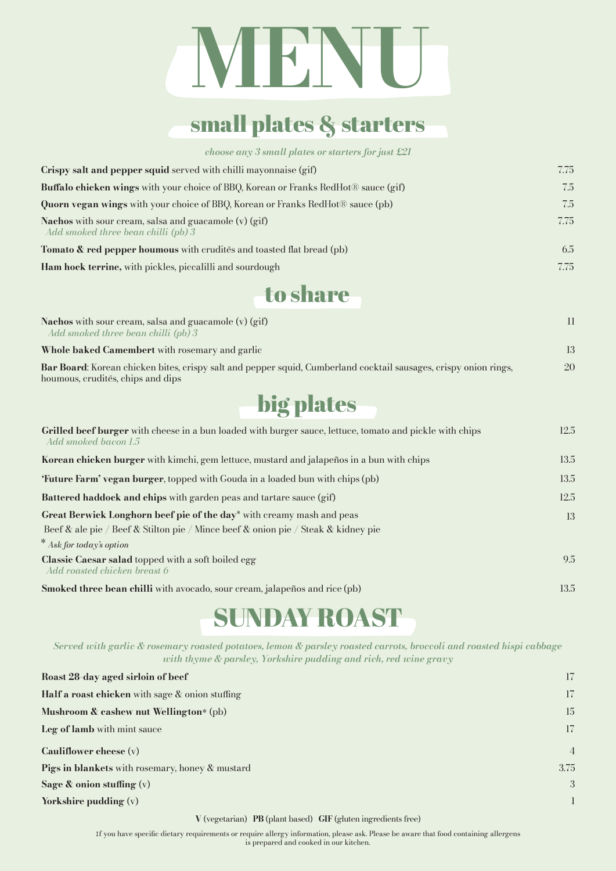# **MENU**

## small plates & starters

*choose any 3 small plates or starters for just £21*

| Crispy salt and pepper squid served with chilli mayonnaise (gif)                                        | 7.75 |
|---------------------------------------------------------------------------------------------------------|------|
| <b>Buffalo chicken wings</b> with your choice of BBQ, Korean or Franks RedHot <sup>®</sup> sauce (gif)  | 7.5  |
| <b>Quorn vegan wings</b> with your choice of BBQ, Korean or Franks RedHot <sup>®</sup> sauce (pb)       | 7.5  |
| <b>Nachos</b> with sour cream, salsa and guacamole $(v)$ (gif)<br>Add smoked three bean chilli $(pb)$ 3 | 7.75 |
| <b>Tomato &amp; red pepper houmous</b> with crudites and toasted flat bread (pb)                        | 6.5  |
| Ham hock terrine, with pickles, piccalilli and sourdough                                                | 7.75 |

to share

| <b>Nachos</b> with sour cream, salsa and guacamole $(v)$ (gif)<br>Add smoked three bean chilli $(pb)$ 3                                               | 11 |
|-------------------------------------------------------------------------------------------------------------------------------------------------------|----|
| <b>Whole baked Camembert</b> with rosemary and garlic                                                                                                 | 13 |
| Bar Board: Korean chicken bites, crispy salt and pepper squid, Cumberland cocktail sausages, crispy onion rings,<br>houmous, crudités, chips and dips | 20 |

big plates

| Grilled beef burger with cheese in a bun loaded with burger sauce, lettuce, tomato and pickle with chips<br>Add smoked bacon 1.5 | 12.5 |
|----------------------------------------------------------------------------------------------------------------------------------|------|
| Korean chicken burger with kimchi, gem lettuce, mustard and jalapeños in a bun with chips                                        | 13.5 |
| 'Future Farm' vegan burger, topped with Gouda in a loaded bun with chips (pb)                                                    | 13.5 |
| Battered haddock and chips with garden peas and tartare sauce (gif)                                                              | 12.5 |
| Great Berwick Longhorn beef pie of the day <sup>*</sup> with creamy mash and peas                                                | 13   |
| Beef & ale pie / Beef & Stilton pie / Mince beef & onion pie / Steak & kidney pie                                                |      |
| $*$ Ask for today's option                                                                                                       |      |
| Classic Caesar salad topped with a soft boiled egg<br>Add roasted chicken breast 6                                               | 9.5  |
| <b>Smoked three bean chilli</b> with avocado, sour cream, jalapenos and rice (pb)                                                | 13.5 |

# SUNDAY ROAST

*Served with garlic & rosemary roasted potatoes, lemon & parsley roasted carrots, broccoli and roasted hispi cabbage with thyme & parsley, Yorkshire pudding and rich, red wine gravy*

| Roast 28-day aged sirloin of beef                         | 17             |
|-----------------------------------------------------------|----------------|
| <b>Half a roast chicken</b> with sage $\&$ onion stuffing | 17             |
| Mushroom & cashew nut Wellington* (pb)                    | 15             |
| Leg of lamb with mint sauce                               | 17             |
| Cauliflower cheese $(v)$                                  | $\overline{4}$ |
| <b>Pigs in blankets</b> with rosemary, honey & mustard    | 3.75           |
| Sage $\&$ onion stuffing $(v)$                            | $\mathcal{E}$  |
| Yorkshire pudding $(v)$                                   | $\mathbf{1}$   |

**V** (vegetarian) **PB** (plant based) **GIF** (gluten ingredients free)